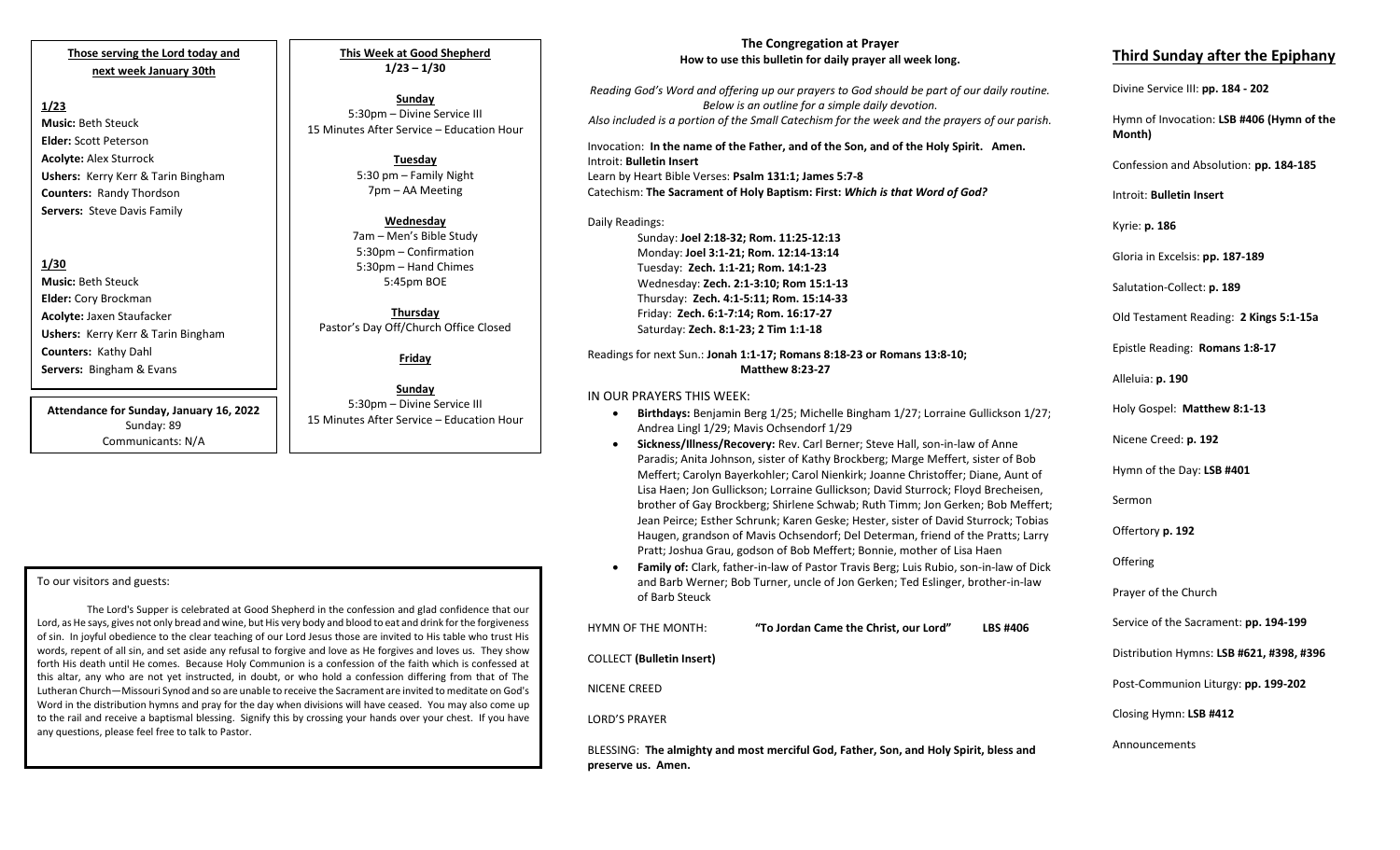## **Those serving the Lord today and next week January 30th**

### **1/23**

**Music:** Beth Steuck **Elder:** Scott Peterson **Acolyte:** Alex Sturrock **Ushers:** Kerry Kerr & Tarin Bingham **Counters:** Randy Thordson **Servers:** Steve Davis Family

## **1/30**

**Music:** Beth Steuck **Elder:** Cory Brockman **Acolyte:** Jaxen Staufacker **Ushers:** Kerry Kerr & Tarin Bingham **Counters:** Kathy Dahl **Servers:** Bingham & Evans

**Attendance for Sunday, January 16, 2022** Sunday: 89 Communicants: N/A

**This Week at Good Shepherd 1/23 – 1/30**

**Sunday** 5:30pm – Divine Service III 15 Minutes After Service – Education Hour

> **Tuesday** 5:30 pm – Family Night 7pm – AA Meeting

## **Wednesday**

7am – Men's Bible Study 5:30pm – Confirmation 5:30pm – Hand Chimes 5:45pm BOE

**Thursday** Pastor's Day Off/Church Office Closed

**Friday**

**Sunday** 5:30pm – Divine Service III 15 Minutes After Service – Education Hour

#### To our visitors and guests:

The Lord's Supper is celebrated at Good Shepherd in the confession and glad confidence that our Lord, as He says, gives not only bread and wine, but His very body and blood to eat and drink for the forgiveness of sin. In joyful obedience to the clear teaching of our Lord Jesus those are invited to His table who trust His words, repent of all sin, and set aside any refusal to forgive and love as He forgives and loves us. They show forth His death until He comes. Because Holy Communion is a confession of the faith which is confessed at this altar, any who are not yet instructed, in doubt, or who hold a confession differing from that of The Lutheran Church—Missouri Synod and so are unable to receive the Sacrament are invited to meditate on God's Word in the distribution hymns and pray for the day when divisions will have ceased. You may also come up to the rail and receive a baptismal blessing. Signify this by crossing your hands over your chest. If you have any questions, please feel free to talk to Pastor.

### **The Congregation at Prayer How to use this bulletin for daily prayer all week long.**

*Reading God's Word and offering up our prayers to God should be part of our daily routine. Below is an outline for a simple daily devotion. Also included is a portion of the Small Catechism for the week and the prayers of our parish.*

Invocation: **In the name of the Father, and of the Son, and of the Holy Spirit. Amen.** Introit: **Bulletin Insert** Learn by Heart Bible Verses: **Psalm 131:1; James 5:7-8** Catechism: **The Sacrament of Holy Baptism: First:** *Which is that Word of God?*

## Daily Readings:

Sunday: **Joel 2:18-32; Rom. 11:25-12:13** Monday: **Joel 3:1-21; Rom. 12:14-13:14** Tuesday: **Zech. 1:1-21; Rom. 14:1-23** Wednesday: **Zech. 2:1-3:10; Rom 15:1-13** Thursday: **Zech. 4:1-5:11; Rom. 15:14-33** Friday: **Zech. 6:1-7:14; Rom. 16:17-27** Saturday: **Zech. 8:1-23; 2 Tim 1:1-18**

#### Readings for next Sun.: **Jonah 1:1-17; Romans 8:18-23 or Romans 13:8-10; Matthew 8:23-27**

### IN OUR PRAYERS THIS WEEK:

- **Birthdays:** Benjamin Berg 1/25; Michelle Bingham 1/27; Lorraine Gullickson 1/27; Andrea Lingl 1/29; Mavis Ochsendorf 1/29
- **Sickness/Illness/Recovery:** Rev. Carl Berner; Steve Hall, son-in-law of Anne Paradis; Anita Johnson, sister of Kathy Brockberg; Marge Meffert, sister of Bob Meffert; Carolyn Bayerkohler; Carol Nienkirk; Joanne Christoffer; Diane, Aunt of Lisa Haen; Jon Gullickson; Lorraine Gullickson; David Sturrock; Floyd Brecheisen, brother of Gay Brockberg; Shirlene Schwab; Ruth Timm; Jon Gerken; Bob Meffert; Jean Peirce; Esther Schrunk; Karen Geske; Hester, sister of David Sturrock; Tobias Haugen, grandson of Mavis Ochsendorf; Del Determan, friend of the Pratts; Larry Pratt; Joshua Grau, godson of Bob Meffert; Bonnie, mother of Lisa Haen
- **Family of:** Clark, father-in-law of Pastor Travis Berg; Luis Rubio, son-in-law of Dick and Barb Werner; Bob Turner, uncle of Jon Gerken; Ted Eslinger, brother-in-law of Barb Steuck

| <b>HYMN OF THE MONTH:</b>        | "To Jordan Came the Christ, our Lord"                                                 | <b>LBS #406</b> | SЄ |
|----------------------------------|---------------------------------------------------------------------------------------|-----------------|----|
| <b>COLLECT</b> (Bulletin Insert) |                                                                                       |                 | Di |
| NICENE CREED                     |                                                                                       |                 | Po |
| <b>LORD'S PRAYER</b>             |                                                                                       |                 | CI |
| preserve us. Amen.               | BLESSING: The almighty and most merciful God, Father, Son, and Holy Spirit, bless and |                 | Ar |

## **Third Sunday after the Epiphany**

Divine Service III: **pp. 184 - 202**

Hymn of Invocation: **LSB #406 (Hymn of the Month)**

Confession and Absolution: **pp. 184-185**

Introit: **Bulletin Insert** 

Kyrie: **p. 186**

Gloria in Excelsis: **pp. 187-189**

Salutation-Collect: **p. 189**

Old Testament Reading: **2 Kings 5:1-15a**

Epistle Reading: **Romans 1:8-17**

Alleluia: **p. 190**

Holy Gospel: **Matthew 8:1-13**

Nicene Creed: **p. 192**

Hymn of the Day: **LSB #401**

Sermon

Offertory **p. 192**

**Offering** 

Prayer of the Church

Service of the Sacrament: **pp. 194-199**

Distribution Hymns: **LSB #621, #398, #396**

Post-Communion Liturgy: **pp. 199-202** 

Closing Hymn: **LSB #412**

nnouncements